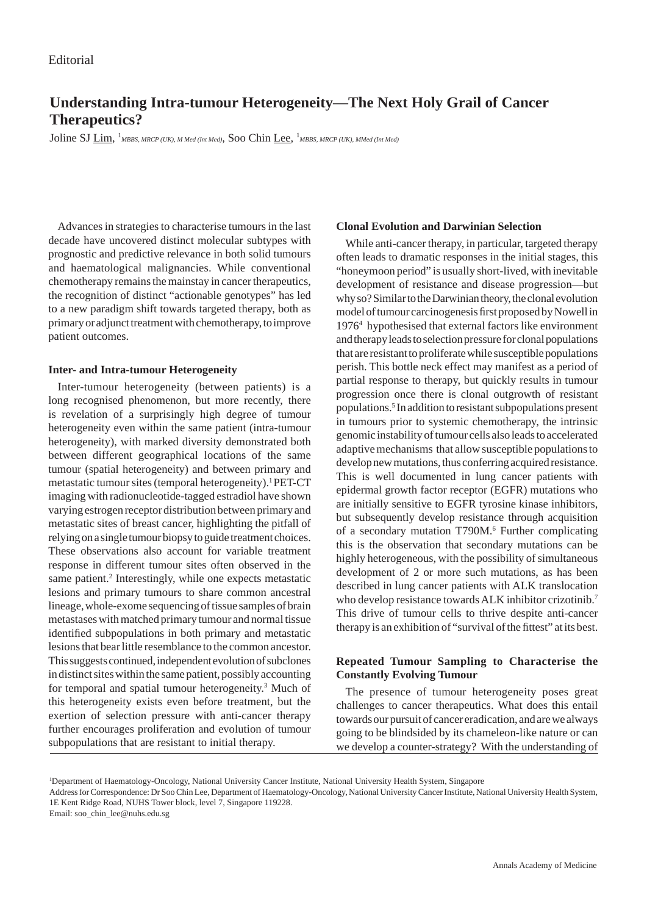# **Understanding Intra-tumour Heterogeneity—The Next Holy Grail of Cancer Therapeutics?**

Joline SJ  $\underline{\mathrm{Lim}}, \frac{1}{MBBS},$  MRCP (UK), M Med (Int Med), Soo Chin Lee,  $^1$ MBBS, MRCP (UK), MMed (Int Med)

Advances in strategies to characterise tumours in the last decade have uncovered distinct molecular subtypes with prognostic and predictive relevance in both solid tumours and haematological malignancies. While conventional chemotherapy remains the mainstay in cancer therapeutics, the recognition of distinct "actionable genotypes" has led to a new paradigm shift towards targeted therapy, both as primary or adjunct treatment with chemotherapy, to improve patient outcomes.

#### **Inter- and Intra-tumour Heterogeneity**

Inter-tumour heterogeneity (between patients) is a long recognised phenomenon, but more recently, there is revelation of a surprisingly high degree of tumour heterogeneity even within the same patient (intra-tumour heterogeneity), with marked diversity demonstrated both between different geographical locations of the same tumour (spatial heterogeneity) and between primary and metastatic tumour sites (temporal heterogeneity).<sup>1</sup> PET-CT imaging with radionucleotide-tagged estradiol have shown varying estrogen receptor distribution between primary and metastatic sites of breast cancer, highlighting the pitfall of relying on a single tumour biopsy to guide treatment choices. These observations also account for variable treatment response in different tumour sites often observed in the same patient.<sup>2</sup> Interestingly, while one expects metastatic lesions and primary tumours to share common ancestral lineage, whole-exome sequencing of tissue samples of brain metastases with matched primary tumour and normal tissue identified subpopulations in both primary and metastatic lesions that bear little resemblance to the common ancestor. This suggests continued, independent evolution of subclones in distinct sites within the same patient, possibly accounting for temporal and spatial tumour heterogeneity.3 Much of this heterogeneity exists even before treatment, but the exertion of selection pressure with anti-cancer therapy further encourages proliferation and evolution of tumour subpopulations that are resistant to initial therapy.

## **Clonal Evolution and Darwinian Selection**

While anti-cancer therapy, in particular, targeted therapy often leads to dramatic responses in the initial stages, this "honeymoon period" is usually short-lived, with inevitable development of resistance and disease progression—but why so? Similar to the Darwinian theory, the clonal evolution model of tumour carcinogenesis first proposed by Nowell in 19764 hypothesised that external factors like environment and therapy leads to selection pressure for clonal populations that are resistant to proliferate while susceptible populations perish. This bottle neck effect may manifest as a period of partial response to therapy, but quickly results in tumour progression once there is clonal outgrowth of resistant populations.<sup>5</sup> In addition to resistant subpopulations present in tumours prior to systemic chemotherapy, the intrinsic genomic instability of tumour cells also leads to accelerated adaptive mechanisms that allow susceptible populations to develop new mutations, thus conferring acquired resistance. This is well documented in lung cancer patients with epidermal growth factor receptor (EGFR) mutations who are initially sensitive to EGFR tyrosine kinase inhibitors, but subsequently develop resistance through acquisition of a secondary mutation T790M.<sup>6</sup> Further complicating this is the observation that secondary mutations can be highly heterogeneous, with the possibility of simultaneous development of 2 or more such mutations, as has been described in lung cancer patients with ALK translocation who develop resistance towards ALK inhibitor crizotinib.7 This drive of tumour cells to thrive despite anti-cancer therapy is an exhibition of "survival of the fittest" at its best.

## **Repeated Tumour Sampling to Characterise the Constantly Evolving Tumour**

The presence of tumour heterogeneity poses great challenges to cancer therapeutics. What does this entail towards our pursuit of cancer eradication, and are we always going to be blindsided by its chameleon-like nature or can we develop a counter-strategy? With the understanding of

Email: soo\_chin\_lee@nuhs.edu.sg

<sup>1</sup> Department of Haematology-Oncology, National University Cancer Institute, National University Health System, Singapore

Address for Correspondence: Dr Soo Chin Lee, Department of Haematology-Oncology, National University Cancer Institute, National University Health System, 1E Kent Ridge Road, NUHS Tower block, level 7, Singapore 119228.